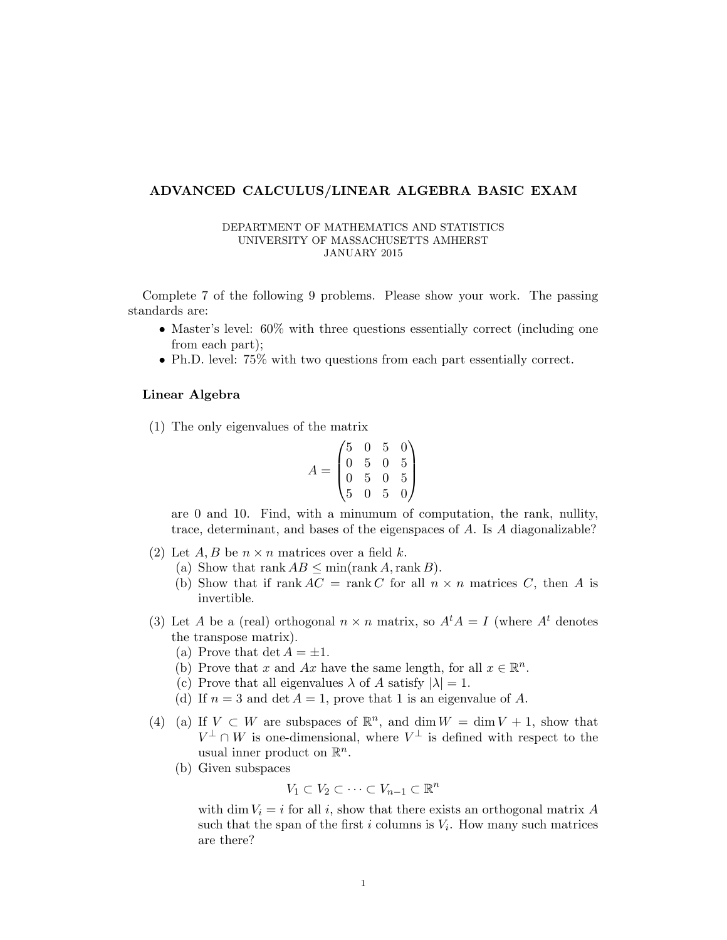## ADVANCED CALCULUS/LINEAR ALGEBRA BASIC EXAM

## DEPARTMENT OF MATHEMATICS AND STATISTICS UNIVERSITY OF MASSACHUSETTS AMHERST JANUARY 2015

Complete 7 of the following 9 problems. Please show your work. The passing standards are:

- Master's level: 60% with three questions essentially correct (including one from each part);
- Ph.D. level: 75% with two questions from each part essentially correct.

## Linear Algebra

(1) The only eigenvalues of the matrix

$$
A = \begin{pmatrix} 5 & 0 & 5 & 0 \\ 0 & 5 & 0 & 5 \\ 0 & 5 & 0 & 5 \\ 5 & 0 & 5 & 0 \end{pmatrix}
$$

are 0 and 10. Find, with a minumum of computation, the rank, nullity, trace, determinant, and bases of the eigenspaces of A. Is A diagonalizable?

- (2) Let  $A, B$  be  $n \times n$  matrices over a field k.
	- (a) Show that rank  $AB \leq \min(\operatorname{rank} A, \operatorname{rank} B)$ .
	- (b) Show that if rank  $AC = \text{rank } C$  for all  $n \times n$  matrices C, then A is invertible.
- (3) Let A be a (real) orthogonal  $n \times n$  matrix, so  $A^t A = I$  (where  $A^t$  denotes the transpose matrix).
	- (a) Prove that det  $A = \pm 1$ .
	- (b) Prove that x and Ax have the same length, for all  $x \in \mathbb{R}^n$ .
	- (c) Prove that all eigenvalues  $\lambda$  of A satisfy  $|\lambda| = 1$ .
	- (d) If  $n = 3$  and det  $A = 1$ , prove that 1 is an eigenvalue of A.
- (4) (a) If  $V \subset W$  are subspaces of  $\mathbb{R}^n$ , and dim  $W = \dim V + 1$ , show that  $V^{\perp} \cap W$  is one-dimensional, where  $V^{\perp}$  is defined with respect to the usual inner product on  $\mathbb{R}^n$ .
	- (b) Given subspaces

$$
V_1 \subset V_2 \subset \cdots \subset V_{n-1} \subset \mathbb{R}^n
$$

with dim  $V_i = i$  for all i, show that there exists an orthogonal matrix A such that the span of the first i columns is  $V_i$ . How many such matrices are there?